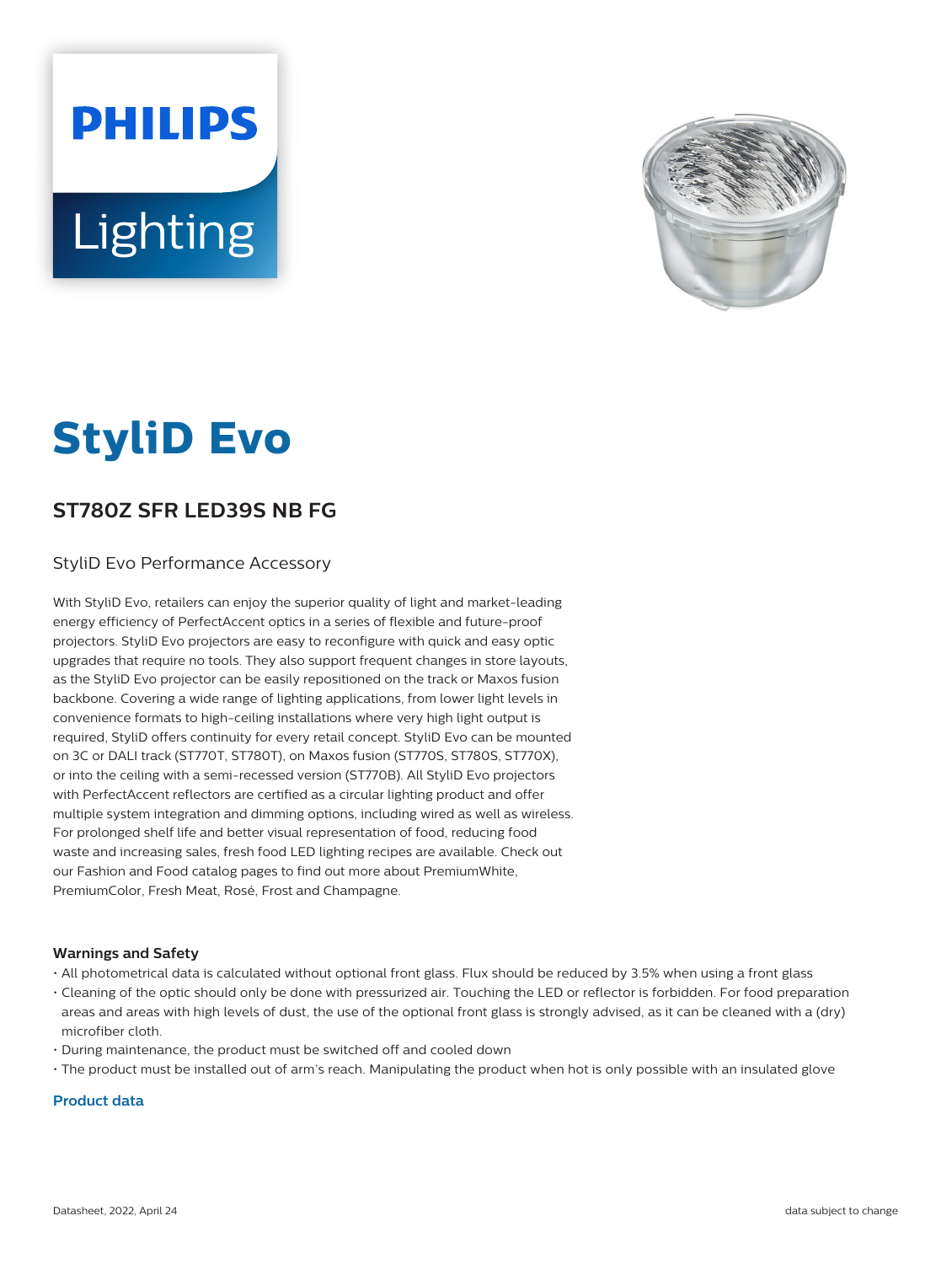# **PHILIPS** Lighting



# **StyliD Evo**

# **ST780Z SFR LED39S NB FG**

### StyliD Evo Performance Accessory

With StyliD Evo, retailers can enjoy the superior quality of light and market-leading energy efficiency of PerfectAccent optics in a series of flexible and future-proof projectors. StyliD Evo projectors are easy to reconfigure with quick and easy optic upgrades that require no tools. They also support frequent changes in store layouts, as the StyliD Evo projector can be easily repositioned on the track or Maxos fusion backbone. Covering a wide range of lighting applications, from lower light levels in convenience formats to high-ceiling installations where very high light output is required, StyliD offers continuity for every retail concept. StyliD Evo can be mounted on 3C or DALI track (ST770T, ST780T), on Maxos fusion (ST770S, ST780S, ST770X), or into the ceiling with a semi-recessed version (ST770B). All StyliD Evo projectors with PerfectAccent reflectors are certified as a circular lighting product and offer multiple system integration and dimming options, including wired as well as wireless. For prolonged shelf life and better visual representation of food, reducing food waste and increasing sales, fresh food LED lighting recipes are available. Check out our Fashion and Food catalog pages to find out more about PremiumWhite, PremiumColor, Fresh Meat, Rosé, Frost and Champagne.

#### **Warnings and Safety**

- All photometrical data is calculated without optional front glass. Flux should be reduced by 3.5% when using a front glass
- Cleaning of the optic should only be done with pressurized air. Touching the LED or reflector is forbidden. For food preparation areas and areas with high levels of dust, the use of the optional front glass is strongly advised, as it can be cleaned with a (dry) microfiber cloth.
- During maintenance, the product must be switched off and cooled down
- The product must be installed out of arm's reach. Manipulating the product when hot is only possible with an insulated glove

#### **Product data**